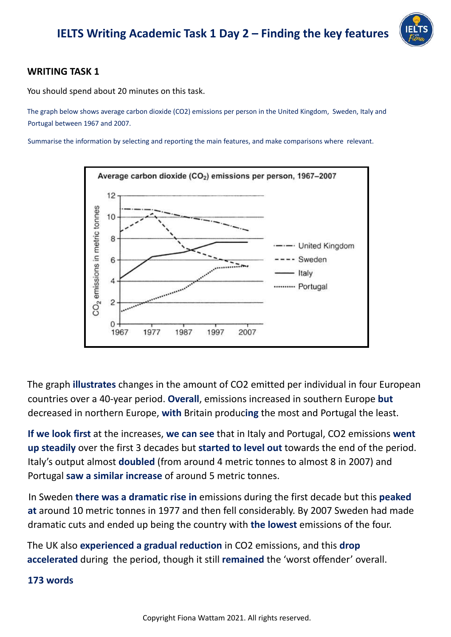

### **WRITING TASK 1**

You should spend about 20 minutes on this task.

The graph below shows average carbon dioxide (CO2) emissions per person in the United Kingdom, Sweden, Italy and Portugal between 1967 and 2007.

Summarise the information by selecting and reporting the main features, and make comparisons where relevant.



The graph **illustrates** changes in the amount of CO2 emitted per individual in four European countries over a 40-year period. **Overall**, emissions increased in southern Europe **but** decreased in northern Europe, **with** Britain produc**ing** the most and Portugal the least.

**If we look first** at the increases, **we can see** that in Italy and Portugal, CO2 emissions **went up steadily** over the first 3 decades but **started to level out** towards the end of the period. Italy's output almost **doubled** (from around 4 metric tonnes to almost 8 in 2007) and Portugal **saw a similar increase** of around 5 metric tonnes.

In Sweden **there was a dramatic rise in** emissions during the first decade but this **peaked at** around 10 metric tonnes in 1977 and then fell considerably. By 2007 Sweden had made dramatic cuts and ended up being the country with **the lowest** emissions of the four.

The UK also **experienced a gradual reduction** in CO2 emissions, and this **drop accelerated** during the period, though it still **remained** the 'worst offender' overall.

### **173 words**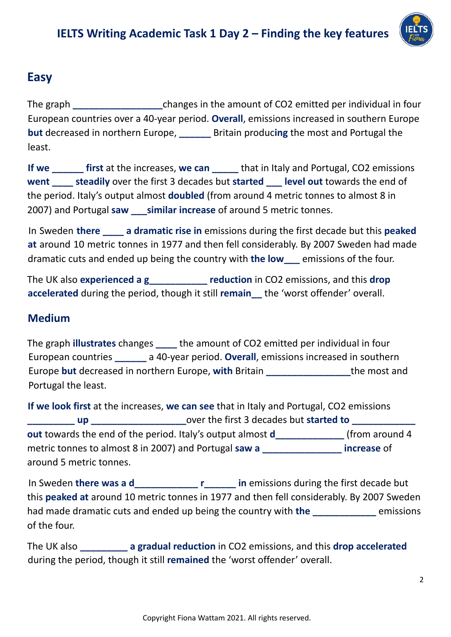

# **Easy**

The graph **\_\_\_\_\_\_\_\_\_\_\_\_\_\_\_\_\_**changes in the amount of CO2 emitted per individual in four European countries over a 40-year period. **Overall**, emissions increased in southern Europe **but** decreased in northern Europe, **\_\_\_\_\_\_** Britain produc**ing** the most and Portugal the least.

**If** we **a first** at the increases, we can **b** that in Italy and Portugal, CO2 emissions **went \_\_\_\_ steadily** over the first 3 decades but **started \_\_\_ level out** towards the end of the period. Italy's output almost **doubled** (from around 4 metric tonnes to almost 8 in 2007) and Portugal **saw \_\_\_similar increase** of around 5 metric tonnes.

In Sweden **there \_\_\_\_ a dramatic rise in** emissions during the first decade but this **peaked at** around 10 metric tonnes in 1977 and then fell considerably. By 2007 Sweden had made dramatic cuts and ended up being the country with **the low\_\_\_** emissions of the four.

The UK also **experienced a g\_\_\_\_\_\_\_\_\_\_\_ reduction** in CO2 emissions, and this **drop accelerated** during the period, though it still **remain\_\_** the 'worst offender' overall.

### **Medium**

The graph **illustrates** changes **\_\_\_\_** the amount of CO2 emitted per individual in four European countries **\_\_\_\_\_\_** a 40-year period. **Overall**, emissions increased in southern Europe **but** decreased in northern Europe, **with** Britain **\_\_\_\_\_\_\_\_\_\_\_\_\_\_\_\_**the most and Portugal the least.

**If we look first** at the increases, **we can see** that in Italy and Portugal, CO2 emissions **up b 2 up decades** but **started to** *g* **decades but <b>started to** *g* **out** towards the end of the period. Italy's output almost **d\_\_\_\_\_\_\_\_\_\_\_\_\_** (from around 4 metric tonnes to almost 8 in 2007) and Portugal **saw a \_\_\_\_\_\_\_\_\_\_\_\_\_\_\_ increase** of around 5 metric tonnes.

In Sweden **there was a d\_\_\_\_\_\_\_\_\_\_\_\_ r\_\_\_\_\_\_ in** emissions during the first decade but this **peaked at** around 10 metric tonnes in 1977 and then fell considerably. By 2007 Sweden had made dramatic cuts and ended up being the country with **the** *emissions* of the four.

The UK also **\_\_\_\_\_\_\_\_\_ a gradual reduction** in CO2 emissions, and this **drop accelerated** during the period, though it still **remained** the 'worst offender' overall.